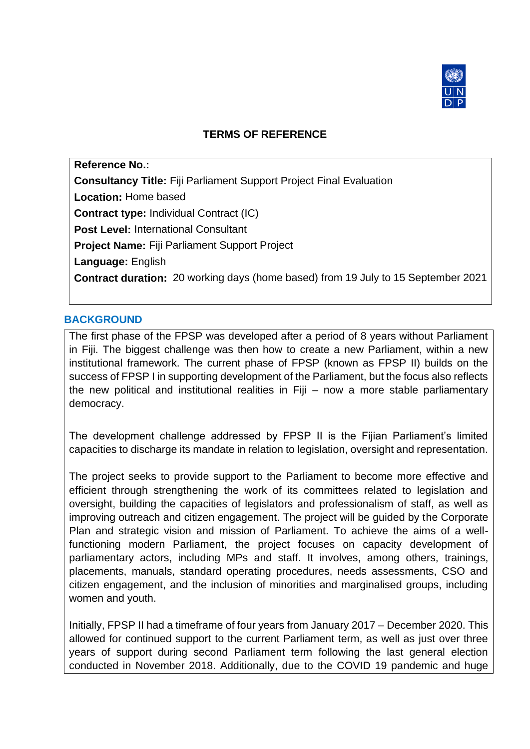

# **TERMS OF REFERENCE**

**Reference No.: Consultancy Title:** Fiji Parliament Support Project Final Evaluation **Location:** Home based **Contract type:** Individual Contract (IC) **Post Level:** International Consultant **Project Name:** Fiji Parliament Support Project **Language:** English **Contract duration:** 20 working days (home based) from 19 July to 15 September 2021

#### **BACKGROUND**

The first phase of the FPSP was developed after a period of 8 years without Parliament in Fiji. The biggest challenge was then how to create a new Parliament, within a new institutional framework. The current phase of FPSP (known as FPSP II) builds on the success of FPSP I in supporting development of the Parliament, but the focus also reflects the new political and institutional realities in Fiji – now a more stable parliamentary democracy.

The development challenge addressed by FPSP II is the Fijian Parliament's limited capacities to discharge its mandate in relation to legislation, oversight and representation.

The project seeks to provide support to the Parliament to become more effective and efficient through strengthening the work of its committees related to legislation and oversight, building the capacities of legislators and professionalism of staff, as well as improving outreach and citizen engagement. The project will be guided by the Corporate Plan and strategic vision and mission of Parliament. To achieve the aims of a wellfunctioning modern Parliament, the project focuses on capacity development of parliamentary actors, including MPs and staff. It involves, among others, trainings, placements, manuals, standard operating procedures, needs assessments, CSO and citizen engagement, and the inclusion of minorities and marginalised groups, including women and youth.

Initially, FPSP II had a timeframe of four years from January 2017 – December 2020. This allowed for continued support to the current Parliament term, as well as just over three years of support during second Parliament term following the last general election conducted in November 2018. Additionally, due to the COVID 19 pandemic and huge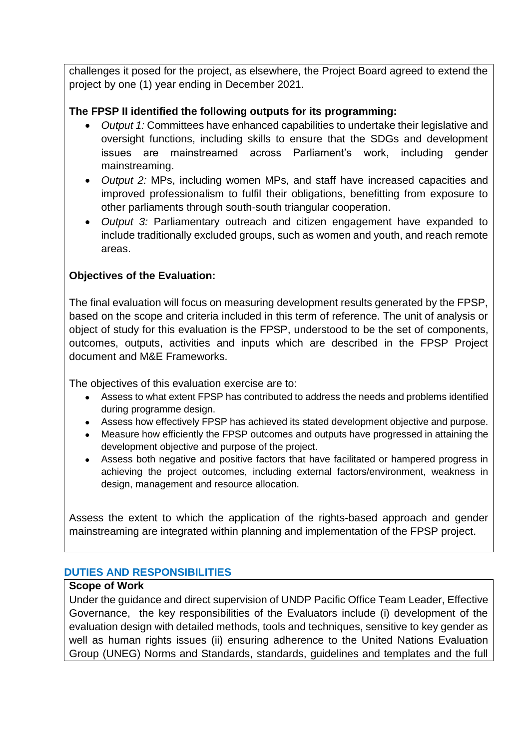challenges it posed for the project, as elsewhere, the Project Board agreed to extend the project by one (1) year ending in December 2021.

# **The FPSP II identified the following outputs for its programming:**

- *Output 1:* Committees have enhanced capabilities to undertake their legislative and oversight functions, including skills to ensure that the SDGs and development issues are mainstreamed across Parliament's work, including gender mainstreaming.
- *Output 2:* MPs, including women MPs, and staff have increased capacities and improved professionalism to fulfil their obligations, benefitting from exposure to other parliaments through south-south triangular cooperation.
- *Output 3:* Parliamentary outreach and citizen engagement have expanded to include traditionally excluded groups, such as women and youth, and reach remote areas.

# **Objectives of the Evaluation:**

The final evaluation will focus on measuring development results generated by the FPSP, based on the scope and criteria included in this term of reference. The unit of analysis or object of study for this evaluation is the FPSP, understood to be the set of components, outcomes, outputs, activities and inputs which are described in the FPSP Project document and M&E Frameworks.

The objectives of this evaluation exercise are to:

- Assess to what extent FPSP has contributed to address the needs and problems identified during programme design.
- Assess how effectively FPSP has achieved its stated development objective and purpose.
- Measure how efficiently the FPSP outcomes and outputs have progressed in attaining the development objective and purpose of the project.
- Assess both negative and positive factors that have facilitated or hampered progress in achieving the project outcomes, including external factors/environment, weakness in design, management and resource allocation.

Assess the extent to which the application of the rights-based approach and gender mainstreaming are integrated within planning and implementation of the FPSP project.

## **DUTIES AND RESPONSIBILITIES**

#### **Scope of Work**

Under the guidance and direct supervision of UNDP Pacific Office Team Leader, Effective Governance, the key responsibilities of the Evaluators include (i) development of the evaluation design with detailed methods, tools and techniques, sensitive to key gender as well as human rights issues (ii) ensuring adherence to the United Nations Evaluation Group (UNEG) Norms and Standards, standards, guidelines and templates and the full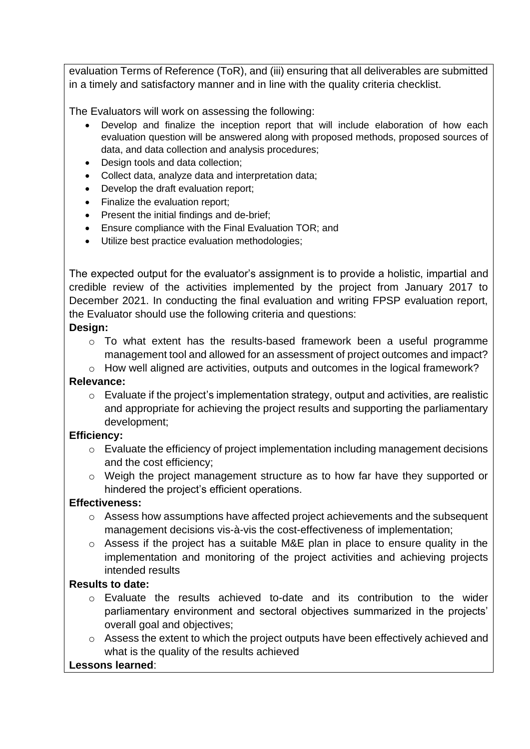evaluation Terms of Reference (ToR), and (iii) ensuring that all deliverables are submitted in a timely and satisfactory manner and in line with the quality criteria checklist.

The Evaluators will work on assessing the following:

- Develop and finalize the inception report that will include elaboration of how each evaluation question will be answered along with proposed methods, proposed sources of data, and data collection and analysis procedures;
- Design tools and data collection;
- Collect data, analyze data and interpretation data;
- Develop the draft evaluation report;
- Finalize the evaluation report:
- Present the initial findings and de-brief;
- Ensure compliance with the Final Evaluation TOR; and
- Utilize best practice evaluation methodologies;

The expected output for the evaluator's assignment is to provide a holistic, impartial and credible review of the activities implemented by the project from January 2017 to December 2021. In conducting the final evaluation and writing FPSP evaluation report, the Evaluator should use the following criteria and questions:

### **Design:**

- o To what extent has the results-based framework been a useful programme management tool and allowed for an assessment of project outcomes and impact?
- o How well aligned are activities, outputs and outcomes in the logical framework?

## **Relevance:**

o Evaluate if the project's implementation strategy, output and activities, are realistic and appropriate for achieving the project results and supporting the parliamentary development;

#### **Efficiency:**

- o Evaluate the efficiency of project implementation including management decisions and the cost efficiency;
- o Weigh the project management structure as to how far have they supported or hindered the project's efficient operations.

## **Effectiveness:**

- o Assess how assumptions have affected project achievements and the subsequent management decisions vis-à-vis the cost-effectiveness of implementation;
- $\circ$  Assess if the project has a suitable M&E plan in place to ensure quality in the implementation and monitoring of the project activities and achieving projects intended results

# **Results to date:**

- o Evaluate the results achieved to-date and its contribution to the wider parliamentary environment and sectoral objectives summarized in the projects' overall goal and objectives;
- o Assess the extent to which the project outputs have been effectively achieved and what is the quality of the results achieved

#### **Lessons learned**: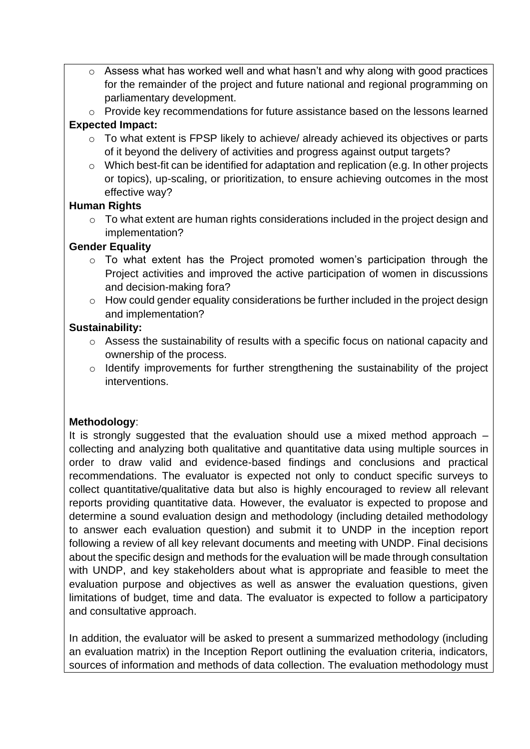- o Assess what has worked well and what hasn't and why along with good practices for the remainder of the project and future national and regional programming on parliamentary development.
- o Provide key recommendations for future assistance based on the lessons learned **Expected Impact:**
	- o To what extent is FPSP likely to achieve/ already achieved its objectives or parts of it beyond the delivery of activities and progress against output targets?
	- o Which best-fit can be identified for adaptation and replication (e.g. In other projects or topics), up-scaling, or prioritization, to ensure achieving outcomes in the most effective way?

## **Human Rights**

o To what extent are human rights considerations included in the project design and implementation?

## **Gender Equality**

- o To what extent has the Project promoted women's participation through the Project activities and improved the active participation of women in discussions and decision-making fora?
- o How could gender equality considerations be further included in the project design and implementation?

# **Sustainability:**

- o Assess the sustainability of results with a specific focus on national capacity and ownership of the process.
- o Identify improvements for further strengthening the sustainability of the project interventions.

# **Methodology**:

It is strongly suggested that the evaluation should use a mixed method approach – collecting and analyzing both qualitative and quantitative data using multiple sources in order to draw valid and evidence-based findings and conclusions and practical recommendations. The evaluator is expected not only to conduct specific surveys to collect quantitative/qualitative data but also is highly encouraged to review all relevant reports providing quantitative data. However, the evaluator is expected to propose and determine a sound evaluation design and methodology (including detailed methodology to answer each evaluation question) and submit it to UNDP in the inception report following a review of all key relevant documents and meeting with UNDP. Final decisions about the specific design and methods for the evaluation will be made through consultation with UNDP, and key stakeholders about what is appropriate and feasible to meet the evaluation purpose and objectives as well as answer the evaluation questions, given limitations of budget, time and data. The evaluator is expected to follow a participatory and consultative approach.

In addition, the evaluator will be asked to present a summarized methodology (including an evaluation matrix) in the Inception Report outlining the evaluation criteria, indicators, sources of information and methods of data collection. The evaluation methodology must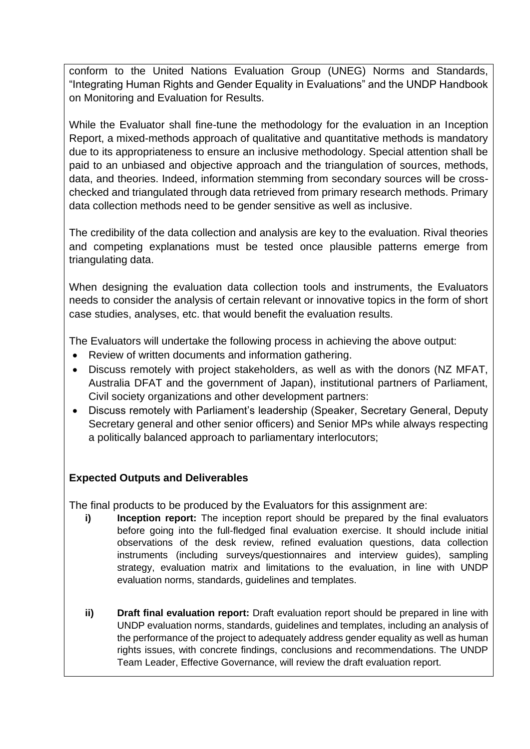conform to the United Nations Evaluation Group (UNEG) Norms and Standards, "Integrating Human Rights and Gender Equality in Evaluations" and the UNDP Handbook on Monitoring and Evaluation for Results.

While the Evaluator shall fine-tune the methodology for the evaluation in an Inception Report, a mixed-methods approach of qualitative and quantitative methods is mandatory due to its appropriateness to ensure an inclusive methodology. Special attention shall be paid to an unbiased and objective approach and the triangulation of sources, methods, data, and theories. Indeed, information stemming from secondary sources will be crosschecked and triangulated through data retrieved from primary research methods. Primary data collection methods need to be gender sensitive as well as inclusive.

The credibility of the data collection and analysis are key to the evaluation. Rival theories and competing explanations must be tested once plausible patterns emerge from triangulating data.

When designing the evaluation data collection tools and instruments, the Evaluators needs to consider the analysis of certain relevant or innovative topics in the form of short case studies, analyses, etc. that would benefit the evaluation results.

The Evaluators will undertake the following process in achieving the above output:

- Review of written documents and information gathering.
- Discuss remotely with project stakeholders, as well as with the donors (NZ MFAT, Australia DFAT and the government of Japan), institutional partners of Parliament, Civil society organizations and other development partners:
- Discuss remotely with Parliament's leadership (Speaker, Secretary General, Deputy Secretary general and other senior officers) and Senior MPs while always respecting a politically balanced approach to parliamentary interlocutors;

# **Expected Outputs and Deliverables**

The final products to be produced by the Evaluators for this assignment are:

- **i) Inception report:** The inception report should be prepared by the final evaluators before going into the full-fledged final evaluation exercise. It should include initial observations of the desk review, refined evaluation questions, data collection instruments (including surveys/questionnaires and interview guides), sampling strategy, evaluation matrix and limitations to the evaluation, in line with UNDP evaluation norms, standards, guidelines and templates.
- **ii) Draft final evaluation report:** Draft evaluation report should be prepared in line with UNDP evaluation norms, standards, guidelines and templates, including an analysis of the performance of the project to adequately address gender equality as well as human rights issues, with concrete findings, conclusions and recommendations. The UNDP Team Leader, Effective Governance, will review the draft evaluation report.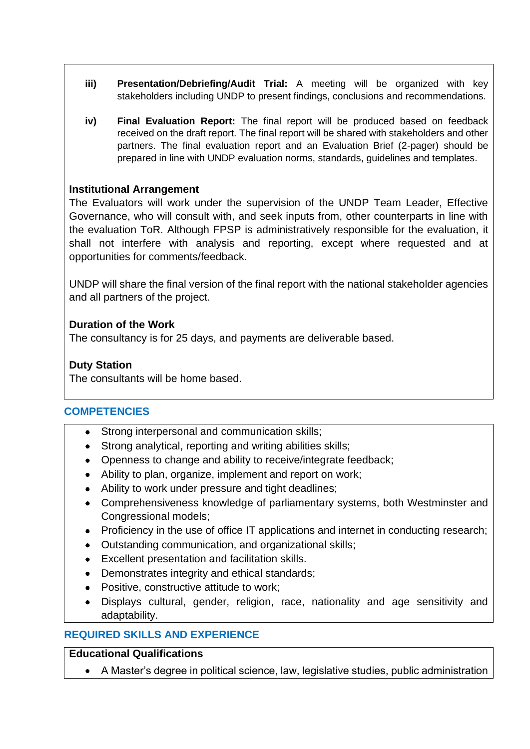- **iii) Presentation/Debriefing/Audit Trial:** A meeting will be organized with key stakeholders including UNDP to present findings, conclusions and recommendations.
- **iv) Final Evaluation Report:** The final report will be produced based on feedback received on the draft report. The final report will be shared with stakeholders and other partners. The final evaluation report and an Evaluation Brief (2-pager) should be prepared in line with UNDP evaluation norms, standards, guidelines and templates.

### **Institutional Arrangement**

The Evaluators will work under the supervision of the UNDP Team Leader, Effective Governance, who will consult with, and seek inputs from, other counterparts in line with the evaluation ToR. Although FPSP is administratively responsible for the evaluation, it shall not interfere with analysis and reporting, except where requested and at opportunities for comments/feedback.

UNDP will share the final version of the final report with the national stakeholder agencies and all partners of the project.

### **Duration of the Work**

The consultancy is for 25 days, and payments are deliverable based.

### **Duty Station**

The consultants will be home based.

#### **COMPETENCIES**

- Strong interpersonal and communication skills;
- Strong analytical, reporting and writing abilities skills;
- Openness to change and ability to receive/integrate feedback;
- Ability to plan, organize, implement and report on work;
- Ability to work under pressure and tight deadlines;
- Comprehensiveness knowledge of parliamentary systems, both Westminster and Congressional models;
- Proficiency in the use of office IT applications and internet in conducting research;
- Outstanding communication, and organizational skills;
- Excellent presentation and facilitation skills.
- Demonstrates integrity and ethical standards;
- Positive, constructive attitude to work;
- Displays cultural, gender, religion, race, nationality and age sensitivity and adaptability.

## **REQUIRED SKILLS AND EXPERIENCE**

#### **Educational Qualifications**

• A Master's degree in political science, law, legislative studies, public administration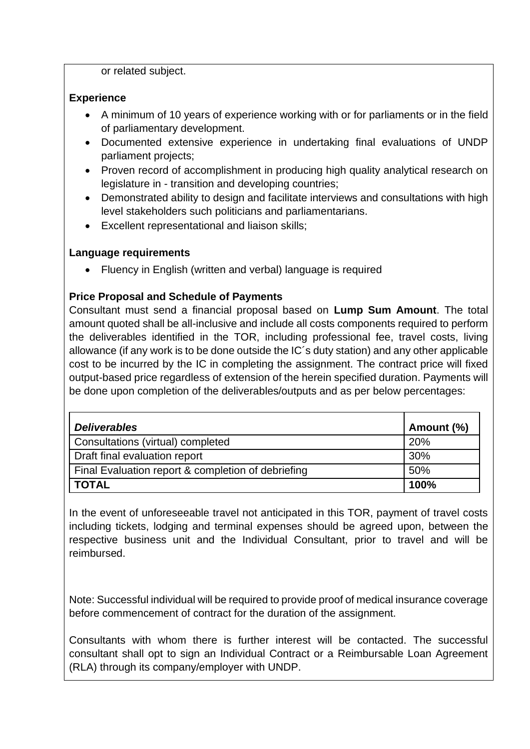or related subject.

## **Experience**

- A minimum of 10 years of experience working with or for parliaments or in the field of parliamentary development.
- Documented extensive experience in undertaking final evaluations of UNDP parliament projects;
- Proven record of accomplishment in producing high quality analytical research on legislature in - transition and developing countries;
- Demonstrated ability to design and facilitate interviews and consultations with high level stakeholders such politicians and parliamentarians.
- Excellent representational and liaison skills;

# **Language requirements**

• Fluency in English (written and verbal) language is required

# **Price Proposal and Schedule of Payments**

Consultant must send a financial proposal based on **Lump Sum Amount**. The total amount quoted shall be all-inclusive and include all costs components required to perform the deliverables identified in the TOR, including professional fee, travel costs, living allowance (if any work is to be done outside the IC´s duty station) and any other applicable cost to be incurred by the IC in completing the assignment. The contract price will fixed output-based price regardless of extension of the herein specified duration. Payments will be done upon completion of the deliverables/outputs and as per below percentages:

| <b>Deliverables</b>                                | Amount (%) |
|----------------------------------------------------|------------|
| Consultations (virtual) completed                  | 20%        |
| Draft final evaluation report                      | 30%        |
| Final Evaluation report & completion of debriefing | 50%        |
| <b>TOTAL</b>                                       | 100%       |

In the event of unforeseeable travel not anticipated in this TOR, payment of travel costs including tickets, lodging and terminal expenses should be agreed upon, between the respective business unit and the Individual Consultant, prior to travel and will be reimbursed.

Note: Successful individual will be required to provide proof of medical insurance coverage before commencement of contract for the duration of the assignment.

Consultants with whom there is further interest will be contacted. The successful consultant shall opt to sign an Individual Contract or a Reimbursable Loan Agreement (RLA) through its company/employer with UNDP.